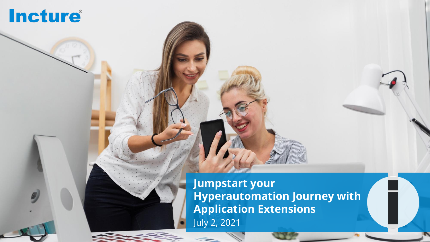# **Incture**®

**Jumpstart your Hyperautomation Journey with Application Extensions** July 2, 2021

 $\mathcal{L} = \mathcal{L}$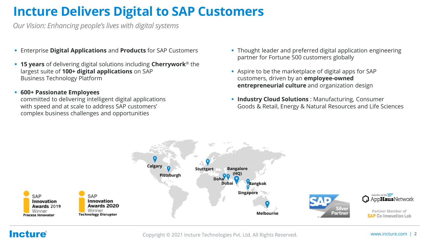## **Incture Delivers Digital to SAP Customers**

*Our Vision: Enhancing people's lives with digital systems*

- Enterprise **Digital Applications** and **Products** for SAP Customers
- **15 years** of delivering digital solutions including **Cherrywork**<sup>®</sup> the largest suite of **100+ digital applications** on SAP Business Technology Platform
- **600+ Passionate Employees**

committed to delivering intelligent digital applications with speed and at scale to address SAP customers' complex business challenges and opportunities

- **Thought leader and preferred digital application engineering** partner for Fortune 500 customers globally
- Aspire to be the marketplace of digital apps for SAP customers, driven by an **employee-owned entrepreneurial culture** and organization design
- **· Industry Cloud Solutions** : Manufacturing, Consumer Goods & Retail, Energy & Natural Resources and Life Sciences



### **Incture**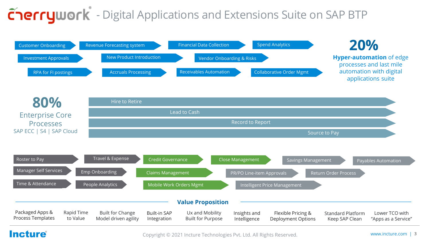# **Cherrywork** - Digital Applications and Extensions Suite on SAP BTP





### **Incture**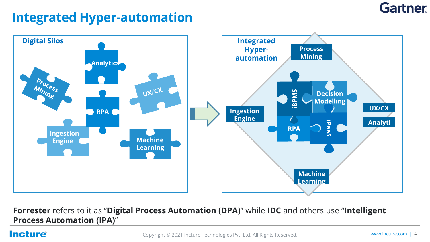## **Gartner**

## **Integrated Hyper-automation**



**Forrester** refers to it as "**Digital Process Automation (DPA)**" while **IDC** and others use "**Intelligent Process Automation (IPA)**"

### **Incture**®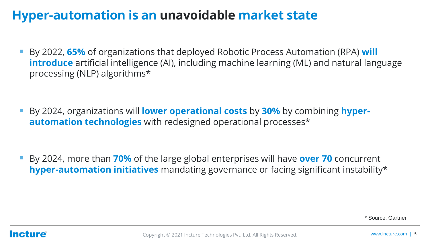## **Hyper-automation is an unavoidable market state**

▪ By 2022, **65%** of organizations that deployed Robotic Process Automation (RPA) **will introduce** artificial intelligence (AI), including machine learning (ML) and natural language processing (NLP) algorithms\*

▪ By 2024, organizations will **lower operational costs** by **30%** by combining **hyperautomation technologies** with redesigned operational processes\*

▪ By 2024, more than **70%** of the large global enterprises will have **over 70** concurrent **hyper-automation initiatives** mandating governance or facing significant instability\*

\* Source: Gartner

### **Incture**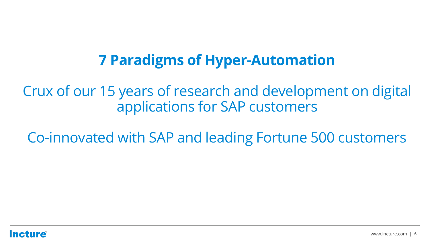## **7 Paradigms of Hyper-Automation**

Crux of our 15 years of research and development on digital applications for SAP customers

Co-innovated with SAP and leading Fortune 500 customers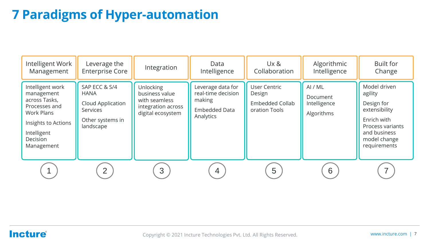## **7 Paradigms of Hyper-automation**

| Intelligent Work<br>Management                                                                                                                 | Leverage the<br><b>Enterprise Core</b>                                                                | Integration                                                                                    | Data<br>Intelligence                                                            | Ux &<br>Collaboration                                                    | Algorithmic<br>Intelligence                       | <b>Built for</b><br>Change                                                                                                                |
|------------------------------------------------------------------------------------------------------------------------------------------------|-------------------------------------------------------------------------------------------------------|------------------------------------------------------------------------------------------------|---------------------------------------------------------------------------------|--------------------------------------------------------------------------|---------------------------------------------------|-------------------------------------------------------------------------------------------------------------------------------------------|
| Intelligent work<br>management<br>across Tasks,<br>Processes and<br>Work Plans<br>Insights to Actions<br>Intelligent<br>Decision<br>Management | SAP ECC & S/4<br><b>HANA</b><br>Cloud Application<br><b>Services</b><br>Other systems in<br>landscape | <b>Unlocking</b><br>business value<br>with seamless<br>integration across<br>digital ecosystem | Leverage data for<br>real-time decision<br>making<br>Embedded Data<br>Analytics | <b>User Centric</b><br>Design<br><b>Embedded Collab</b><br>oration Tools | AI / ML<br>Document<br>Intelligence<br>Algorithms | Model driven<br>agility<br>Design for<br>extensibility<br>Enrich with<br>Process variants<br>and business<br>model change<br>requirements |
|                                                                                                                                                | $\overline{2}$                                                                                        | 3                                                                                              | 4                                                                               | 5                                                                        | 6                                                 |                                                                                                                                           |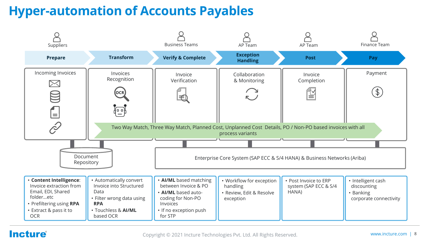## **Hyper-automation of Accounts Payables**



### **Incture**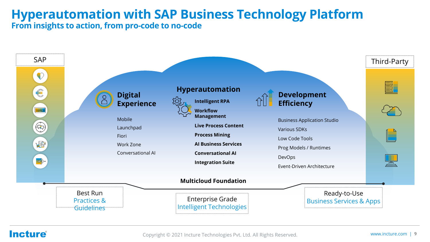### **Hyperautomation with SAP Business Technology Platform From insights to action, from pro-code to no-code**



### **Incture**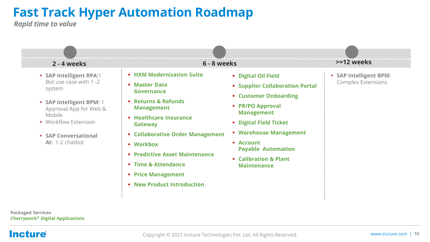## **Fast Track Hyper Automation Roadmap**

*Rapid time to value*



**Incture**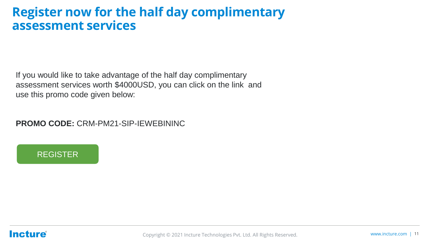### **Register now for the half day complimentary assessment services**

If you would like to take advantage of the half day complimentary assessment services worth \$4000USD, you can click on the link and use this promo code given below:

**PROMO CODE:** CRM-PM21-SIP-IEWEBININC